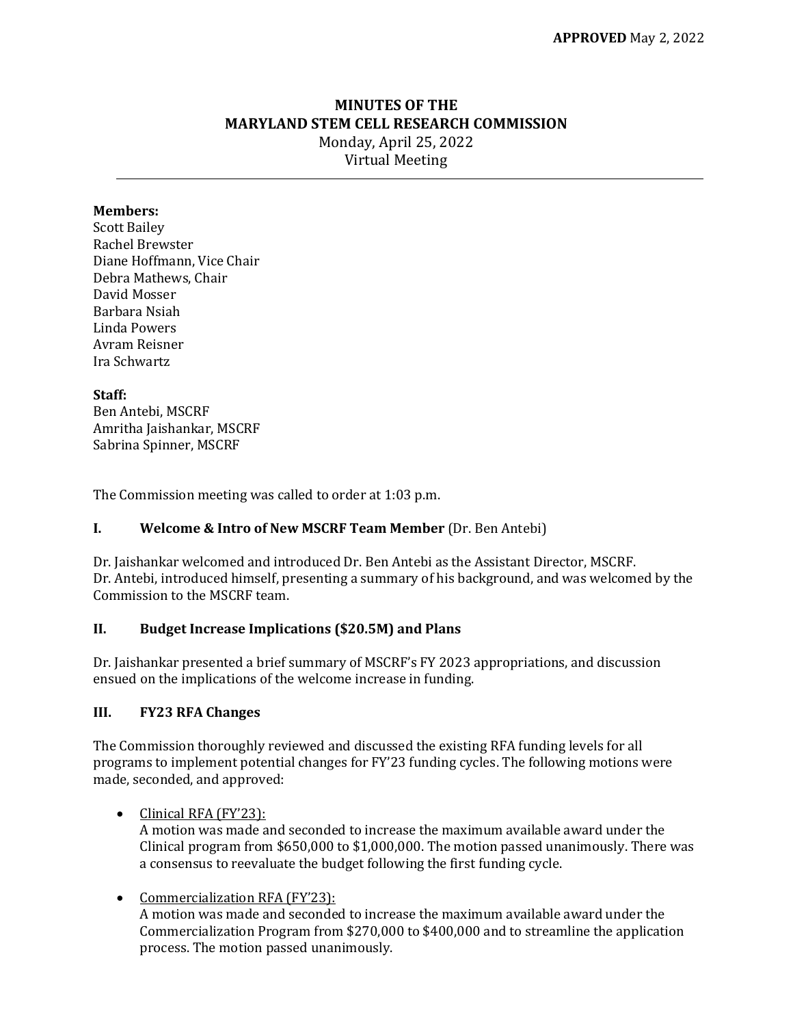# **MINUTES OF THE MARYLAND STEM CELL RESEARCH COMMISSION** Monday, April 25, 2022 Virtual Meeting

# **Members:**

Scott Bailey Rachel Brewster Diane Hoffmann, Vice Chair Debra Mathews, Chair David Mosser Barbara Nsiah Linda Powers Avram Reisner Ira Schwartz

#### **Staff:**

Ben Antebi, MSCRF Amritha Jaishankar, MSCRF Sabrina Spinner, MSCRF

The Commission meeting was called to order at 1:03 p.m.

## **I. Welcome & Intro of New MSCRF Team Member** (Dr. Ben Antebi)

Dr. Jaishankar welcomed and introduced Dr. Ben Antebi as the Assistant Director, MSCRF. Dr. Antebi, introduced himself, presenting a summary of his background, and was welcomed by the Commission to the MSCRF team.

# **II. Budget Increase Implications (\$20.5M) and Plans**

Dr. Jaishankar presented a brief summary of MSCRF's FY 2023 appropriations, and discussion ensued on the implications of the welcome increase in funding.

# **III. FY23 RFA Changes**

The Commission thoroughly reviewed and discussed the existing RFA funding levels for all programs to implement potential changes for FY'23 funding cycles. The following motions were made, seconded, and approved:

#### • Clinical RFA (FY'23):

A motion was made and seconded to increase the maximum available award under the Clinical program from \$650,000 to \$1,000,000. The motion passed unanimously. There was a consensus to reevaluate the budget following the first funding cycle.

## • Commercialization RFA (FY'23):

A motion was made and seconded to increase the maximum available award under the Commercialization Program from \$270,000 to \$400,000 and to streamline the application process. The motion passed unanimously.